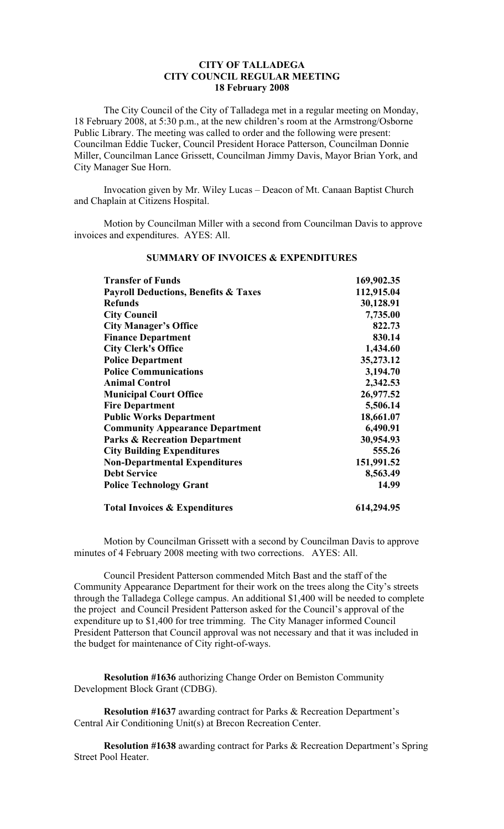### **CITY OF TALLADEGA CITY COUNCIL REGULAR MEETING 18 February 2008**

The City Council of the City of Talladega met in a regular meeting on Monday, 18 February 2008, at 5:30 p.m., at the new children's room at the Armstrong/Osborne Public Library. The meeting was called to order and the following were present: Councilman Eddie Tucker, Council President Horace Patterson, Councilman Donnie Miller, Councilman Lance Grissett, Councilman Jimmy Davis, Mayor Brian York, and City Manager Sue Horn.

Invocation given by Mr. Wiley Lucas – Deacon of Mt. Canaan Baptist Church and Chaplain at Citizens Hospital.

Motion by Councilman Miller with a second from Councilman Davis to approve invoices and expenditures. AYES: All.

| <b>Transfer of Funds</b>                        | 169,902.35 |
|-------------------------------------------------|------------|
| <b>Payroll Deductions, Benefits &amp; Taxes</b> | 112,915.04 |
| <b>Refunds</b>                                  | 30,128.91  |
| <b>City Council</b>                             | 7,735.00   |
| <b>City Manager's Office</b>                    | 822.73     |
| <b>Finance Department</b>                       | 830.14     |
| <b>City Clerk's Office</b>                      | 1,434.60   |
| <b>Police Department</b>                        | 35,273.12  |
| <b>Police Communications</b>                    | 3,194.70   |
| <b>Animal Control</b>                           | 2,342.53   |
| <b>Municipal Court Office</b>                   | 26,977.52  |
| <b>Fire Department</b>                          | 5,506.14   |
| <b>Public Works Department</b>                  | 18,661.07  |
| <b>Community Appearance Department</b>          | 6,490.91   |
| <b>Parks &amp; Recreation Department</b>        | 30,954.93  |
| <b>City Building Expenditures</b>               | 555.26     |
| <b>Non-Departmental Expenditures</b>            | 151,991.52 |
| <b>Debt Service</b>                             | 8,563.49   |
| <b>Police Technology Grant</b>                  | 14.99      |
| <b>Total Invoices &amp; Expenditures</b>        | 614,294.95 |

# **SUMMARY OF INVOICES & EXPENDITURES**

Motion by Councilman Grissett with a second by Councilman Davis to approve minutes of 4 February 2008 meeting with two corrections. AYES: All.

Council President Patterson commended Mitch Bast and the staff of the Community Appearance Department for their work on the trees along the City's streets through the Talladega College campus. An additional \$1,400 will be needed to complete the project and Council President Patterson asked for the Council's approval of the expenditure up to \$1,400 for tree trimming. The City Manager informed Council President Patterson that Council approval was not necessary and that it was included in the budget for maintenance of City right-of-ways.

**Resolution #1636** authorizing Change Order on Bemiston Community Development Block Grant (CDBG).

**Resolution #1637** awarding contract for Parks & Recreation Department's Central Air Conditioning Unit(s) at Brecon Recreation Center.

**Resolution #1638** awarding contract for Parks & Recreation Department's Spring Street Pool Heater.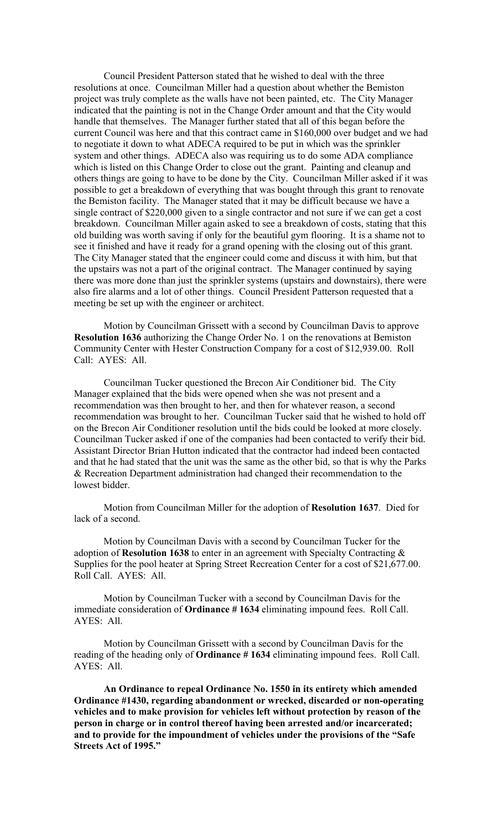Council President Patterson stated that he wished to deal with the three resolutions at once. Councilman Miller had a question about whether the Bemiston project was truly complete as the walls have not been painted, etc. The City Manager indicated that the painting is not in the Change Order amount and that the City would handle that themselves. The Manager further stated that all of this began before the current Council was here and that this contract came in \$160,000 over budget and we had to negotiate it down to what ADECA required to be put in which was the sprinkler system and other things. ADECA also was requiring us to do some ADA compliance which is listed on this Change Order to close out the grant. Painting and cleanup and others things are going to have to be done by the City. Councilman Miller asked if it was possible to get a breakdown of everything that was bought through this grant to renovate the Bemiston facility. The Manager stated that it may be difficult because we have a single contract of \$220,000 given to a single contractor and not sure if we can get a cost breakdown. Councilman Miller again asked to see a breakdown of costs, stating that this old building was worth saving if only for the beautiful gym flooring. It is a shame not to see it finished and have it ready for a grand opening with the closing out of this grant. The City Manager stated that the engineer could come and discuss it with him, but that the upstairs was not a part of the original contract. The Manager continued by saying there was more done than just the sprinkler systems (upstairs and downstairs), there were also fire alarms and a lot of other things. Council President Patterson requested that a meeting be set up with the engineer or architect.

Motion by Councilman Grissett with a second by Councilman Davis to approve **Resolution 1636** authorizing the Change Order No. 1 on the renovations at Bemiston Community Center with Hester Construction Company for a cost of \$12,939.00. Roll Call: AYES: All.

Councilman Tucker questioned the Brecon Air Conditioner bid. The City Manager explained that the bids were opened when she was not present and a recommendation was then brought to her, and then for whatever reason, a second recommendation was brought to her. Councilman Tucker said that he wished to hold off on the Brecon Air Conditioner resolution until the bids could be looked at more closely. Councilman Tucker asked if one of the companies had been contacted to verify their bid. Assistant Director Brian Hutton indicated that the contractor had indeed been contacted and that he had stated that the unit was the same as the other bid, so that is why the Parks & Recreation Department administration had changed their recommendation to the lowest bidder.

Motion from Councilman Miller for the adoption of **Resolution 1637**. Died for lack of a second.

Motion by Councilman Davis with a second by Councilman Tucker for the adoption of **Resolution 1638** to enter in an agreement with Specialty Contracting & Supplies for the pool heater at Spring Street Recreation Center for a cost of \$21,677.00. Roll Call. AYES: All.

Motion by Councilman Tucker with a second by Councilman Davis for the immediate consideration of **Ordinance # 1634** eliminating impound fees. Roll Call. AYES: All.

Motion by Councilman Grissett with a second by Councilman Davis for the reading of the heading only of **Ordinance # 1634** eliminating impound fees. Roll Call. AYES: All.

**An Ordinance to repeal Ordinance No. 1550 in its entirety which amended Ordinance #1430, regarding abandonment or wrecked, discarded or non-operating vehicles and to make provision for vehicles left without protection by reason of the person in charge or in control thereof having been arrested and/or incarcerated; and to provide for the impoundment of vehicles under the provisions of the "Safe Streets Act of 1995."**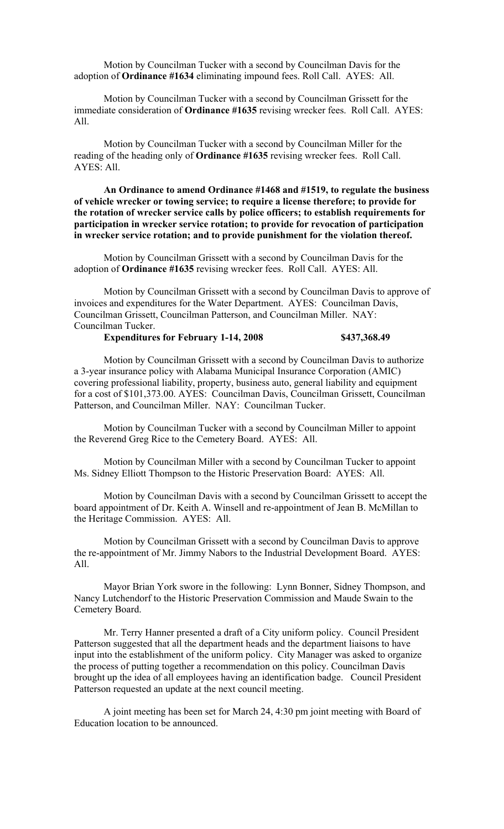Motion by Councilman Tucker with a second by Councilman Davis for the adoption of **Ordinance #1634** eliminating impound fees. Roll Call. AYES: All.

Motion by Councilman Tucker with a second by Councilman Grissett for the immediate consideration of **Ordinance #1635** revising wrecker fees. Roll Call. AYES: All.

Motion by Councilman Tucker with a second by Councilman Miller for the reading of the heading only of **Ordinance #1635** revising wrecker fees. Roll Call. AYES: All.

**An Ordinance to amend Ordinance #1468 and #1519, to regulate the business of vehicle wrecker or towing service; to require a license therefore; to provide for the rotation of wrecker service calls by police officers; to establish requirements for participation in wrecker service rotation; to provide for revocation of participation in wrecker service rotation; and to provide punishment for the violation thereof.**

Motion by Councilman Grissett with a second by Councilman Davis for the adoption of **Ordinance #1635** revising wrecker fees. Roll Call. AYES: All.

Motion by Councilman Grissett with a second by Councilman Davis to approve of invoices and expenditures for the Water Department. AYES: Councilman Davis, Councilman Grissett, Councilman Patterson, and Councilman Miller. NAY: Councilman Tucker.

### **Expenditures for February 1-14, 2008 \$437,368.49**

Motion by Councilman Grissett with a second by Councilman Davis to authorize a 3-year insurance policy with Alabama Municipal Insurance Corporation (AMIC) covering professional liability, property, business auto, general liability and equipment for a cost of \$101,373.00. AYES: Councilman Davis, Councilman Grissett, Councilman Patterson, and Councilman Miller. NAY: Councilman Tucker.

Motion by Councilman Tucker with a second by Councilman Miller to appoint the Reverend Greg Rice to the Cemetery Board. AYES: All.

Motion by Councilman Miller with a second by Councilman Tucker to appoint Ms. Sidney Elliott Thompson to the Historic Preservation Board: AYES: All.

Motion by Councilman Davis with a second by Councilman Grissett to accept the board appointment of Dr. Keith A. Winsell and re-appointment of Jean B. McMillan to the Heritage Commission. AYES: All.

Motion by Councilman Grissett with a second by Councilman Davis to approve the re-appointment of Mr. Jimmy Nabors to the Industrial Development Board. AYES: All.

Mayor Brian York swore in the following: Lynn Bonner, Sidney Thompson, and Nancy Lutchendorf to the Historic Preservation Commission and Maude Swain to the Cemetery Board.

Mr. Terry Hanner presented a draft of a City uniform policy. Council President Patterson suggested that all the department heads and the department liaisons to have input into the establishment of the uniform policy. City Manager was asked to organize the process of putting together a recommendation on this policy. Councilman Davis brought up the idea of all employees having an identification badge. Council President Patterson requested an update at the next council meeting.

A joint meeting has been set for March 24, 4:30 pm joint meeting with Board of Education location to be announced.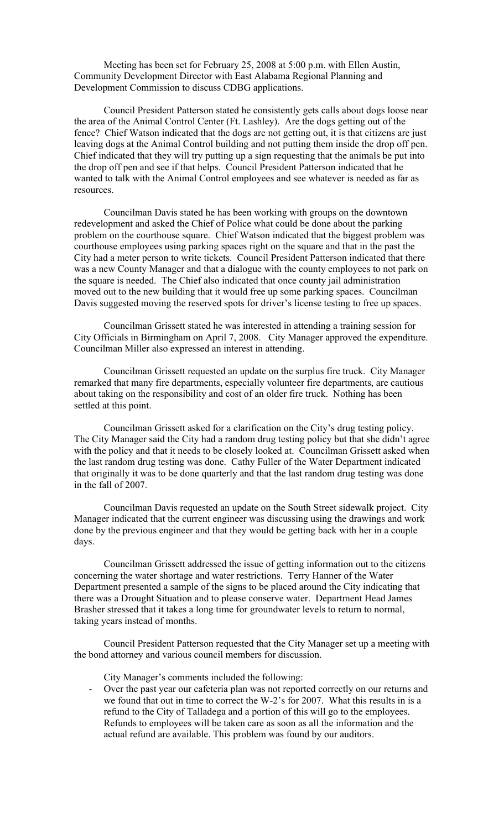Meeting has been set for February 25, 2008 at 5:00 p.m. with Ellen Austin, Community Development Director with East Alabama Regional Planning and Development Commission to discuss CDBG applications.

Council President Patterson stated he consistently gets calls about dogs loose near the area of the Animal Control Center (Ft. Lashley). Are the dogs getting out of the fence? Chief Watson indicated that the dogs are not getting out, it is that citizens are just leaving dogs at the Animal Control building and not putting them inside the drop off pen. Chief indicated that they will try putting up a sign requesting that the animals be put into the drop off pen and see if that helps. Council President Patterson indicated that he wanted to talk with the Animal Control employees and see whatever is needed as far as resources.

Councilman Davis stated he has been working with groups on the downtown redevelopment and asked the Chief of Police what could be done about the parking problem on the courthouse square. Chief Watson indicated that the biggest problem was courthouse employees using parking spaces right on the square and that in the past the City had a meter person to write tickets. Council President Patterson indicated that there was a new County Manager and that a dialogue with the county employees to not park on the square is needed. The Chief also indicated that once county jail administration moved out to the new building that it would free up some parking spaces. Councilman Davis suggested moving the reserved spots for driver's license testing to free up spaces.

Councilman Grissett stated he was interested in attending a training session for City Officials in Birmingham on April 7, 2008. City Manager approved the expenditure. Councilman Miller also expressed an interest in attending.

Councilman Grissett requested an update on the surplus fire truck. City Manager remarked that many fire departments, especially volunteer fire departments, are cautious about taking on the responsibility and cost of an older fire truck. Nothing has been settled at this point.

Councilman Grissett asked for a clarification on the City's drug testing policy. The City Manager said the City had a random drug testing policy but that she didn't agree with the policy and that it needs to be closely looked at. Councilman Grissett asked when the last random drug testing was done. Cathy Fuller of the Water Department indicated that originally it was to be done quarterly and that the last random drug testing was done in the fall of 2007.

Councilman Davis requested an update on the South Street sidewalk project. City Manager indicated that the current engineer was discussing using the drawings and work done by the previous engineer and that they would be getting back with her in a couple days.

Councilman Grissett addressed the issue of getting information out to the citizens concerning the water shortage and water restrictions. Terry Hanner of the Water Department presented a sample of the signs to be placed around the City indicating that there was a Drought Situation and to please conserve water. Department Head James Brasher stressed that it takes a long time for groundwater levels to return to normal, taking years instead of months.

Council President Patterson requested that the City Manager set up a meeting with the bond attorney and various council members for discussion.

City Manager's comments included the following:

- Over the past year our cafeteria plan was not reported correctly on our returns and we found that out in time to correct the W-2's for 2007. What this results in is a refund to the City of Talladega and a portion of this will go to the employees. Refunds to employees will be taken care as soon as all the information and the actual refund are available. This problem was found by our auditors.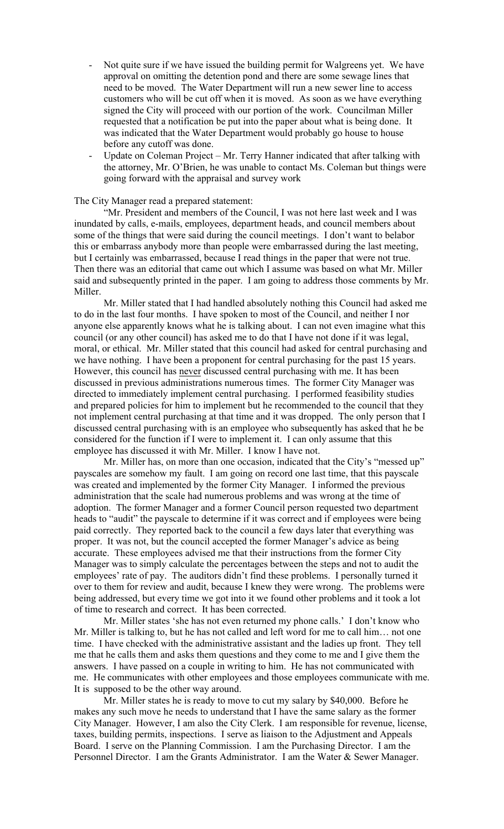- Not quite sure if we have issued the building permit for Walgreens yet. We have approval on omitting the detention pond and there are some sewage lines that need to be moved. The Water Department will run a new sewer line to access customers who will be cut off when it is moved. As soon as we have everything signed the City will proceed with our portion of the work. Councilman Miller requested that a notification be put into the paper about what is being done. It was indicated that the Water Department would probably go house to house before any cutoff was done.
- Update on Coleman Project Mr. Terry Hanner indicated that after talking with the attorney, Mr. O'Brien, he was unable to contact Ms. Coleman but things were going forward with the appraisal and survey work

#### The City Manager read a prepared statement:

"Mr. President and members of the Council, I was not here last week and I was inundated by calls, e-mails, employees, department heads, and council members about some of the things that were said during the council meetings. I don't want to belabor this or embarrass anybody more than people were embarrassed during the last meeting, but I certainly was embarrassed, because I read things in the paper that were not true. Then there was an editorial that came out which I assume was based on what Mr. Miller said and subsequently printed in the paper. I am going to address those comments by Mr. Miller.

Mr. Miller stated that I had handled absolutely nothing this Council had asked me to do in the last four months. I have spoken to most of the Council, and neither I nor anyone else apparently knows what he is talking about. I can not even imagine what this council (or any other council) has asked me to do that I have not done if it was legal, moral, or ethical. Mr. Miller stated that this council had asked for central purchasing and we have nothing. I have been a proponent for central purchasing for the past 15 years. However, this council has never discussed central purchasing with me. It has been discussed in previous administrations numerous times. The former City Manager was directed to immediately implement central purchasing. I performed feasibility studies and prepared policies for him to implement but he recommended to the council that they not implement central purchasing at that time and it was dropped. The only person that I discussed central purchasing with is an employee who subsequently has asked that he be considered for the function if I were to implement it. I can only assume that this employee has discussed it with Mr. Miller. I know I have not.

Mr. Miller has, on more than one occasion, indicated that the City's "messed up" payscales are somehow my fault. I am going on record one last time, that this payscale was created and implemented by the former City Manager. I informed the previous administration that the scale had numerous problems and was wrong at the time of adoption. The former Manager and a former Council person requested two department heads to "audit" the payscale to determine if it was correct and if employees were being paid correctly. They reported back to the council a few days later that everything was proper. It was not, but the council accepted the former Manager's advice as being accurate. These employees advised me that their instructions from the former City Manager was to simply calculate the percentages between the steps and not to audit the employees' rate of pay. The auditors didn't find these problems. I personally turned it over to them for review and audit, because I knew they were wrong. The problems were being addressed, but every time we got into it we found other problems and it took a lot of time to research and correct. It has been corrected.

Mr. Miller states 'she has not even returned my phone calls.' I don't know who Mr. Miller is talking to, but he has not called and left word for me to call him… not one time. I have checked with the administrative assistant and the ladies up front. They tell me that he calls them and asks them questions and they come to me and I give them the answers. I have passed on a couple in writing to him. He has not communicated with me. He communicates with other employees and those employees communicate with me. It is supposed to be the other way around.

Mr. Miller states he is ready to move to cut my salary by \$40,000. Before he makes any such move he needs to understand that I have the same salary as the former City Manager. However, I am also the City Clerk. I am responsible for revenue, license, taxes, building permits, inspections. I serve as liaison to the Adjustment and Appeals Board. I serve on the Planning Commission. I am the Purchasing Director. I am the Personnel Director. I am the Grants Administrator. I am the Water & Sewer Manager.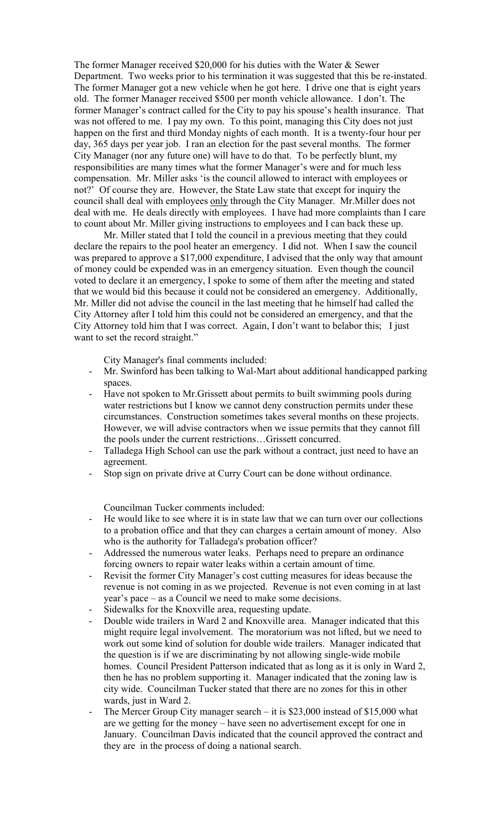The former Manager received \$20,000 for his duties with the Water & Sewer Department. Two weeks prior to his termination it was suggested that this be re-instated. The former Manager got a new vehicle when he got here. I drive one that is eight years old. The former Manager received \$500 per month vehicle allowance. I don't. The former Manager's contract called for the City to pay his spouse's health insurance. That was not offered to me. I pay my own. To this point, managing this City does not just happen on the first and third Monday nights of each month. It is a twenty-four hour per day, 365 days per year job. I ran an election for the past several months. The former City Manager (nor any future one) will have to do that. To be perfectly blunt, my responsibilities are many times what the former Manager's were and for much less compensation. Mr. Miller asks 'is the council allowed to interact with employees or not?' Of course they are. However, the State Law state that except for inquiry the council shall deal with employees only through the City Manager. Mr.Miller does not deal with me. He deals directly with employees. I have had more complaints than I care to count about Mr. Miller giving instructions to employees and I can back these up.

Mr. Miller stated that I told the council in a previous meeting that they could declare the repairs to the pool heater an emergency. I did not. When I saw the council was prepared to approve a \$17,000 expenditure, I advised that the only way that amount of money could be expended was in an emergency situation. Even though the council voted to declare it an emergency, I spoke to some of them after the meeting and stated that we would bid this because it could not be considered an emergency. Additionally, Mr. Miller did not advise the council in the last meeting that he himself had called the City Attorney after I told him this could not be considered an emergency, and that the City Attorney told him that I was correct. Again, I don't want to belabor this; I just want to set the record straight."

City Manager's final comments included:

- Mr. Swinford has been talking to Wal-Mart about additional handicapped parking spaces.
- Have not spoken to Mr.Grissett about permits to built swimming pools during water restrictions but I know we cannot deny construction permits under these circumstances. Construction sometimes takes several months on these projects. However, we will advise contractors when we issue permits that they cannot fill the pools under the current restrictions…Grissett concurred.
- Talladega High School can use the park without a contract, just need to have an agreement.
- Stop sign on private drive at Curry Court can be done without ordinance.

Councilman Tucker comments included:

- He would like to see where it is in state law that we can turn over our collections to a probation office and that they can charges a certain amount of money. Also who is the authority for Talladega's probation officer?
- Addressed the numerous water leaks. Perhaps need to prepare an ordinance forcing owners to repair water leaks within a certain amount of time.
- Revisit the former City Manager's cost cutting measures for ideas because the revenue is not coming in as we projected. Revenue is not even coming in at last year's pace – as a Council we need to make some decisions.
- Sidewalks for the Knoxville area, requesting update.
- Double wide trailers in Ward 2 and Knoxville area. Manager indicated that this might require legal involvement. The moratorium was not lifted, but we need to work out some kind of solution for double wide trailers. Manager indicated that the question is if we are discriminating by not allowing single-wide mobile homes. Council President Patterson indicated that as long as it is only in Ward 2, then he has no problem supporting it. Manager indicated that the zoning law is city wide. Councilman Tucker stated that there are no zones for this in other wards, just in Ward 2.
- The Mercer Group City manager search it is  $$23,000$  instead of  $$15,000$  what are we getting for the money – have seen no advertisement except for one in January. Councilman Davis indicated that the council approved the contract and they are in the process of doing a national search.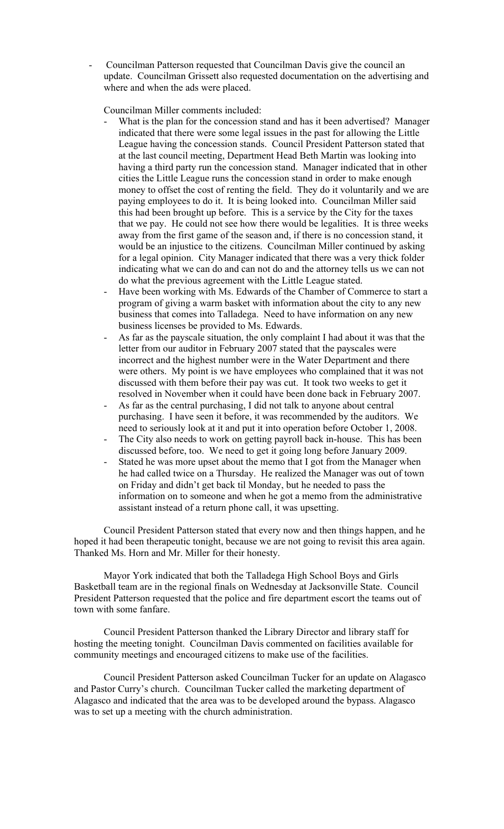- Councilman Patterson requested that Councilman Davis give the council an update. Councilman Grissett also requested documentation on the advertising and where and when the ads were placed.

Councilman Miller comments included:

- What is the plan for the concession stand and has it been advertised? Manager indicated that there were some legal issues in the past for allowing the Little League having the concession stands. Council President Patterson stated that at the last council meeting, Department Head Beth Martin was looking into having a third party run the concession stand. Manager indicated that in other cities the Little League runs the concession stand in order to make enough money to offset the cost of renting the field. They do it voluntarily and we are paying employees to do it. It is being looked into. Councilman Miller said this had been brought up before. This is a service by the City for the taxes that we pay. He could not see how there would be legalities. It is three weeks away from the first game of the season and, if there is no concession stand, it would be an injustice to the citizens. Councilman Miller continued by asking for a legal opinion. City Manager indicated that there was a very thick folder indicating what we can do and can not do and the attorney tells us we can not do what the previous agreement with the Little League stated.
- Have been working with Ms. Edwards of the Chamber of Commerce to start a program of giving a warm basket with information about the city to any new business that comes into Talladega. Need to have information on any new business licenses be provided to Ms. Edwards.
- As far as the payscale situation, the only complaint I had about it was that the letter from our auditor in February 2007 stated that the payscales were incorrect and the highest number were in the Water Department and there were others. My point is we have employees who complained that it was not discussed with them before their pay was cut. It took two weeks to get it resolved in November when it could have been done back in February 2007.
- As far as the central purchasing, I did not talk to anyone about central purchasing. I have seen it before, it was recommended by the auditors. We need to seriously look at it and put it into operation before October 1, 2008.
- The City also needs to work on getting payroll back in-house. This has been discussed before, too. We need to get it going long before January 2009.
- Stated he was more upset about the memo that I got from the Manager when he had called twice on a Thursday. He realized the Manager was out of town on Friday and didn't get back til Monday, but he needed to pass the information on to someone and when he got a memo from the administrative assistant instead of a return phone call, it was upsetting.

Council President Patterson stated that every now and then things happen, and he hoped it had been therapeutic tonight, because we are not going to revisit this area again. Thanked Ms. Horn and Mr. Miller for their honesty.

Mayor York indicated that both the Talladega High School Boys and Girls Basketball team are in the regional finals on Wednesday at Jacksonville State. Council President Patterson requested that the police and fire department escort the teams out of town with some fanfare.

Council President Patterson thanked the Library Director and library staff for hosting the meeting tonight. Councilman Davis commented on facilities available for community meetings and encouraged citizens to make use of the facilities.

Council President Patterson asked Councilman Tucker for an update on Alagasco and Pastor Curry's church. Councilman Tucker called the marketing department of Alagasco and indicated that the area was to be developed around the bypass. Alagasco was to set up a meeting with the church administration.